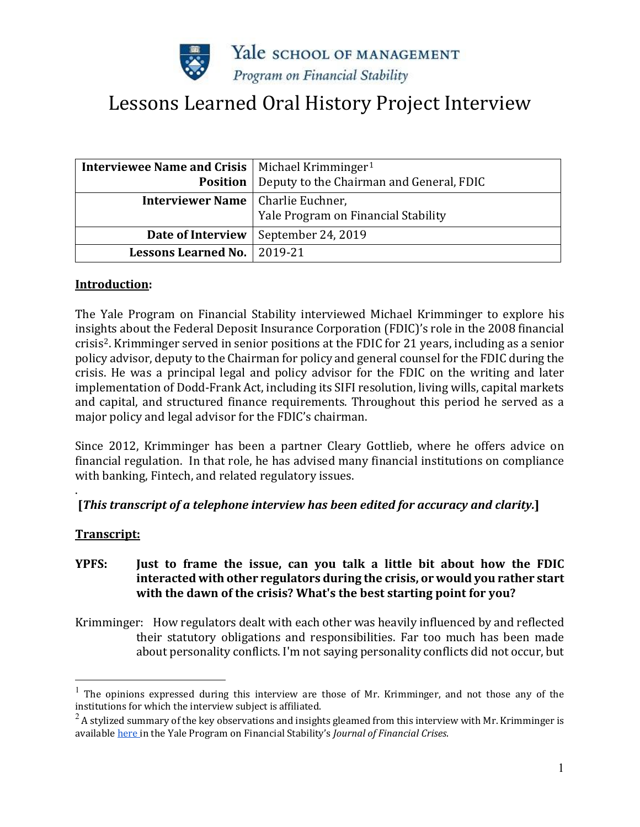

# Lessons Learned Oral History Project Interview

| <b>Interviewee Name and Crisis</b>   Michael Krimminger <sup>1</sup> |                                                            |
|----------------------------------------------------------------------|------------------------------------------------------------|
|                                                                      | <b>Position</b>   Deputy to the Chairman and General, FDIC |
| <b>Interviewer Name</b>   Charlie Euchner,                           | Yale Program on Financial Stability                        |
| Date of Interview                                                    | September 24, 2019                                         |
| Lessons Learned No.   2019-21                                        |                                                            |

#### **Introduction:**

The Yale Program on Financial Stability interviewed Michael Krimminger to explore his insights about the Federal Deposit Insurance Corporation (FDIC)'s role in the 2008 financial crisis[2](#page-0-1). Krimminger served in senior positions at the FDIC for 21 years, including as a senior policy advisor, deputy to the Chairman for policy and general counsel for the FDIC during the crisis. He was a principal legal and policy advisor for the FDIC on the writing and later implementation of Dodd-Frank Act, including its SIFI resolution, living wills, capital markets and capital, and structured finance requirements. Throughout this period he served as a major policy and legal advisor for the FDIC's chairman.

Since 2012, Krimminger has been a partner Cleary Gottlieb, where he offers advice on financial regulation. In that role, he has advised many financial institutions on compliance with banking, Fintech, and related regulatory issues.

#### . **[***This transcript of a telephone interview has been edited for accuracy and clarity.***]**

#### **Transcript:**

# **YPFS: Just to frame the issue, can you talk a little bit about how the FDIC interacted with other regulators during the crisis, or would you rather start with the dawn of the crisis? What's the best starting point for you?**

Krimminger: How regulators dealt with each other was heavily influenced by and reflected their statutory obligations and responsibilities. Far too much has been made about personality conflicts. I'm not saying personality conflicts did not occur, but

<span id="page-0-0"></span> $<sup>1</sup>$  The opinions expressed during this interview are those of Mr. Krimminger, and not those any of the</sup> institutions for which the interview subject is affiliated.

<span id="page-0-1"></span> $^{2}$  A stylized summary of the key observations and insights gleamed from this interview with Mr. Krimminger is availabl[e here i](https://elischolar.library.yale.edu/journal-of-financial-crises/vol3/iss2/34/)n the Yale Program on Financial Stability's *Journal of Financial Crises*.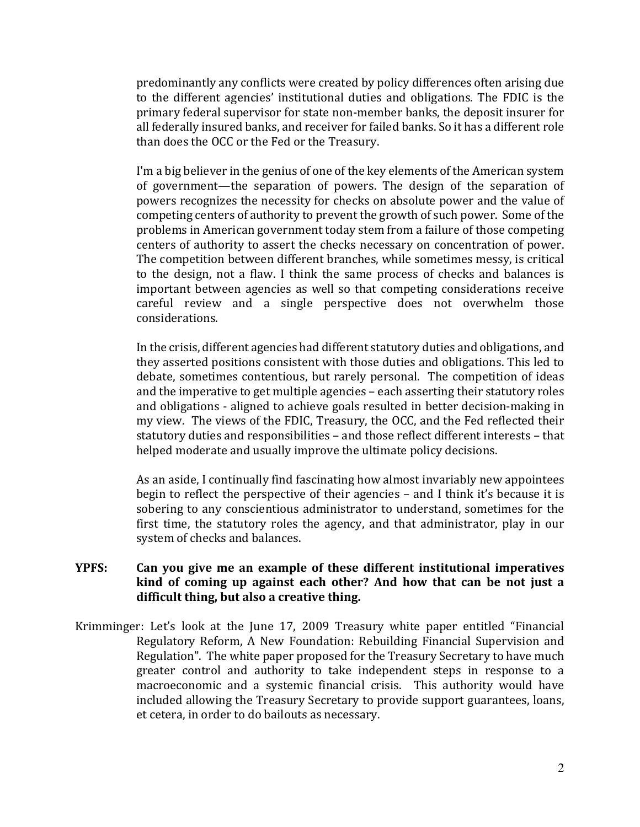predominantly any conflicts were created by policy differences often arising due to the different agencies' institutional duties and obligations. The FDIC is the primary federal supervisor for state non-member banks, the deposit insurer for all federally insured banks, and receiver for failed banks. So it has a different role than does the OCC or the Fed or the Treasury.

I'm a big believer in the genius of one of the key elements of the American system of government—the separation of powers. The design of the separation of powers recognizes the necessity for checks on absolute power and the value of competing centers of authority to prevent the growth of such power. Some of the problems in American government today stem from a failure of those competing centers of authority to assert the checks necessary on concentration of power. The competition between different branches, while sometimes messy, is critical to the design, not a flaw. I think the same process of checks and balances is important between agencies as well so that competing considerations receive careful review and a single perspective does not overwhelm those considerations.

In the crisis, different agencies had different statutory duties and obligations, and they asserted positions consistent with those duties and obligations. This led to debate, sometimes contentious, but rarely personal. The competition of ideas and the imperative to get multiple agencies – each asserting their statutory roles and obligations - aligned to achieve goals resulted in better decision-making in my view. The views of the FDIC, Treasury, the OCC, and the Fed reflected their statutory duties and responsibilities – and those reflect different interests – that helped moderate and usually improve the ultimate policy decisions.

As an aside, I continually find fascinating how almost invariably new appointees begin to reflect the perspective of their agencies – and I think it's because it is sobering to any conscientious administrator to understand, sometimes for the first time, the statutory roles the agency, and that administrator, play in our system of checks and balances.

## **YPFS: Can you give me an example of these different institutional imperatives kind of coming up against each other? And how that can be not just a difficult thing, but also a creative thing.**

Krimminger: Let's look at the June 17, 2009 Treasury white paper entitled "Financial Regulatory Reform, A New Foundation: Rebuilding Financial Supervision and Regulation". The white paper proposed for the Treasury Secretary to have much greater control and authority to take independent steps in response to a macroeconomic and a systemic financial crisis. This authority would have included allowing the Treasury Secretary to provide support guarantees, loans, et cetera, in order to do bailouts as necessary.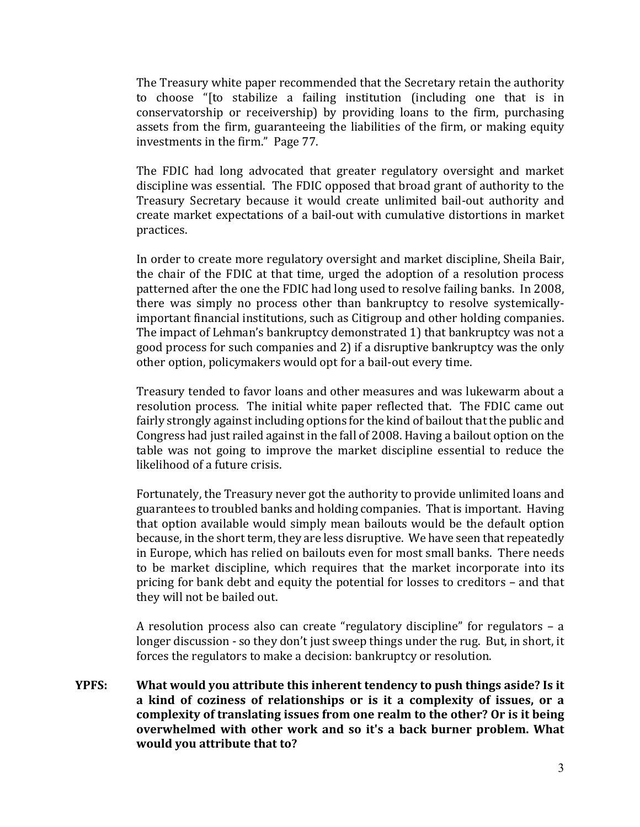The Treasury white paper recommended that the Secretary retain the authority to choose "[to stabilize a failing institution (including one that is in conservatorship or receivership) by providing loans to the firm, purchasing assets from the firm, guaranteeing the liabilities of the firm, or making equity investments in the firm." Page 77.

The FDIC had long advocated that greater regulatory oversight and market discipline was essential. The FDIC opposed that broad grant of authority to the Treasury Secretary because it would create unlimited bail-out authority and create market expectations of a bail-out with cumulative distortions in market practices.

In order to create more regulatory oversight and market discipline, Sheila Bair, the chair of the FDIC at that time, urged the adoption of a resolution process patterned after the one the FDIC had long used to resolve failing banks. In 2008, there was simply no process other than bankruptcy to resolve systemicallyimportant financial institutions, such as Citigroup and other holding companies. The impact of Lehman's bankruptcy demonstrated 1) that bankruptcy was not a good process for such companies and 2) if a disruptive bankruptcy was the only other option, policymakers would opt for a bail-out every time.

Treasury tended to favor loans and other measures and was lukewarm about a resolution process. The initial white paper reflected that. The FDIC came out fairly strongly against including options for the kind of bailout that the public and Congress had just railed against in the fall of 2008. Having a bailout option on the table was not going to improve the market discipline essential to reduce the likelihood of a future crisis.

Fortunately, the Treasury never got the authority to provide unlimited loans and guarantees to troubled banks and holding companies. That is important. Having that option available would simply mean bailouts would be the default option because, in the short term, they are less disruptive. We have seen that repeatedly in Europe, which has relied on bailouts even for most small banks. There needs to be market discipline, which requires that the market incorporate into its pricing for bank debt and equity the potential for losses to creditors – and that they will not be bailed out.

A resolution process also can create "regulatory discipline" for regulators – a longer discussion - so they don't just sweep things under the rug. But, in short, it forces the regulators to make a decision: bankruptcy or resolution.

**YPFS: What would you attribute this inherent tendency to push things aside? Is it a kind of coziness of relationships or is it a complexity of issues, or a complexity of translating issues from one realm to the other? Or is it being overwhelmed with other work and so it's a back burner problem. What would you attribute that to?**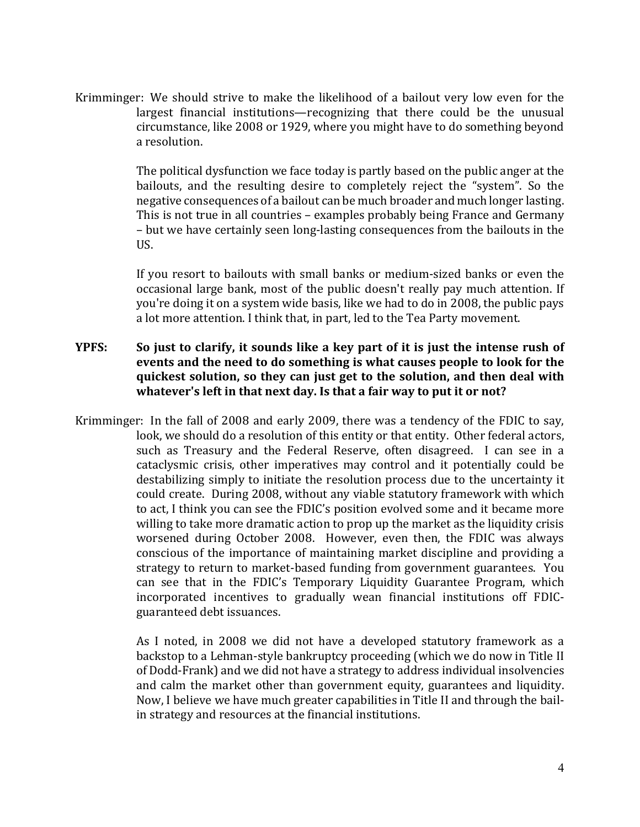Krimminger: We should strive to make the likelihood of a bailout very low even for the largest financial institutions—recognizing that there could be the unusual circumstance, like 2008 or 1929, where you might have to do something beyond a resolution.

> The political dysfunction we face today is partly based on the public anger at the bailouts, and the resulting desire to completely reject the "system". So the negative consequences of a bailout can be much broader and much longer lasting. This is not true in all countries – examples probably being France and Germany – but we have certainly seen long-lasting consequences from the bailouts in the US.

> If you resort to bailouts with small banks or medium-sized banks or even the occasional large bank, most of the public doesn't really pay much attention. If you're doing it on a system wide basis, like we had to do in 2008, the public pays a lot more attention. I think that, in part, led to the Tea Party movement.

## **YPFS: So just to clarify, it sounds like a key part of it is just the intense rush of events and the need to do something is what causes people to look for the quickest solution, so they can just get to the solution, and then deal with whatever's left in that next day. Is that a fair way to put it or not?**

Krimminger: In the fall of 2008 and early 2009, there was a tendency of the FDIC to say, look, we should do a resolution of this entity or that entity. Other federal actors, such as Treasury and the Federal Reserve, often disagreed. I can see in a cataclysmic crisis, other imperatives may control and it potentially could be destabilizing simply to initiate the resolution process due to the uncertainty it could create. During 2008, without any viable statutory framework with which to act, I think you can see the FDIC's position evolved some and it became more willing to take more dramatic action to prop up the market as the liquidity crisis worsened during October 2008. However, even then, the FDIC was always conscious of the importance of maintaining market discipline and providing a strategy to return to market-based funding from government guarantees. You can see that in the FDIC's Temporary Liquidity Guarantee Program, which incorporated incentives to gradually wean financial institutions off FDICguaranteed debt issuances.

> As I noted, in 2008 we did not have a developed statutory framework as a backstop to a Lehman-style bankruptcy proceeding (which we do now in Title II of Dodd-Frank) and we did not have a strategy to address individual insolvencies and calm the market other than government equity, guarantees and liquidity. Now, I believe we have much greater capabilities in Title II and through the bailin strategy and resources at the financial institutions.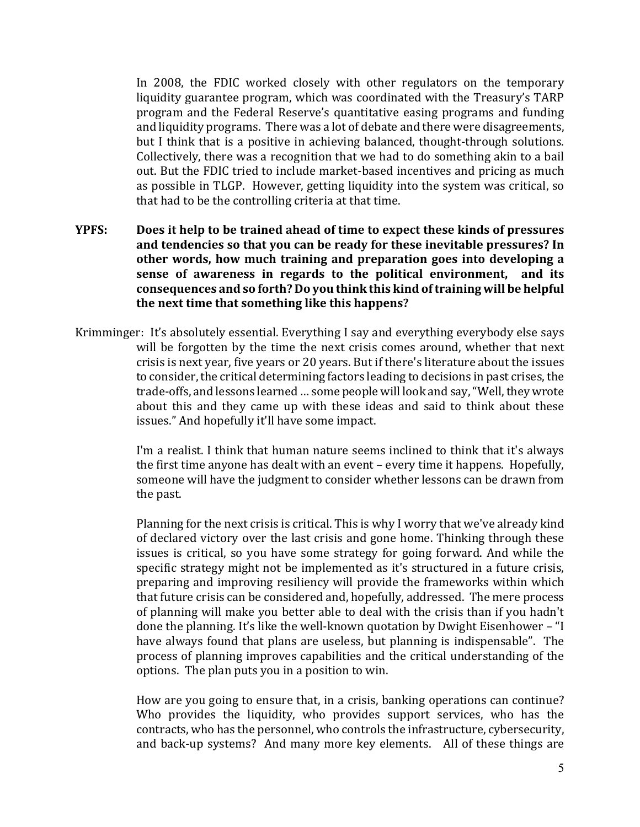In 2008, the FDIC worked closely with other regulators on the temporary liquidity guarantee program, which was coordinated with the Treasury's TARP program and the Federal Reserve's quantitative easing programs and funding and liquidity programs. There was a lot of debate and there were disagreements, but I think that is a positive in achieving balanced, thought-through solutions. Collectively, there was a recognition that we had to do something akin to a bail out. But the FDIC tried to include market-based incentives and pricing as much as possible in TLGP. However, getting liquidity into the system was critical, so that had to be the controlling criteria at that time.

- **YPFS: Does it help to be trained ahead of time to expect these kinds of pressures and tendencies so that you can be ready for these inevitable pressures? In other words, how much training and preparation goes into developing a sense of awareness in regards to the political environment, and its consequences and so forth? Do you think this kind of training will be helpful the next time that something like this happens?**
- Krimminger: It's absolutely essential. Everything I say and everything everybody else says will be forgotten by the time the next crisis comes around, whether that next crisis is next year, five years or 20 years. But if there's literature about the issues to consider, the critical determining factors leading to decisions in past crises, the trade-offs, and lessons learned … some people will look and say, "Well, they wrote about this and they came up with these ideas and said to think about these issues." And hopefully it'll have some impact.

I'm a realist. I think that human nature seems inclined to think that it's always the first time anyone has dealt with an event – every time it happens. Hopefully, someone will have the judgment to consider whether lessons can be drawn from the past.

Planning for the next crisis is critical. This is why I worry that we've already kind of declared victory over the last crisis and gone home. Thinking through these issues is critical, so you have some strategy for going forward. And while the specific strategy might not be implemented as it's structured in a future crisis, preparing and improving resiliency will provide the frameworks within which that future crisis can be considered and, hopefully, addressed. The mere process of planning will make you better able to deal with the crisis than if you hadn't done the planning. It's like the well-known quotation by Dwight Eisenhower – "I have always found that plans are useless, but planning is indispensable". The process of planning improves capabilities and the critical understanding of the options. The plan puts you in a position to win.

How are you going to ensure that, in a crisis, banking operations can continue? Who provides the liquidity, who provides support services, who has the contracts, who has the personnel, who controls the infrastructure, cybersecurity, and back-up systems? And many more key elements. All of these things are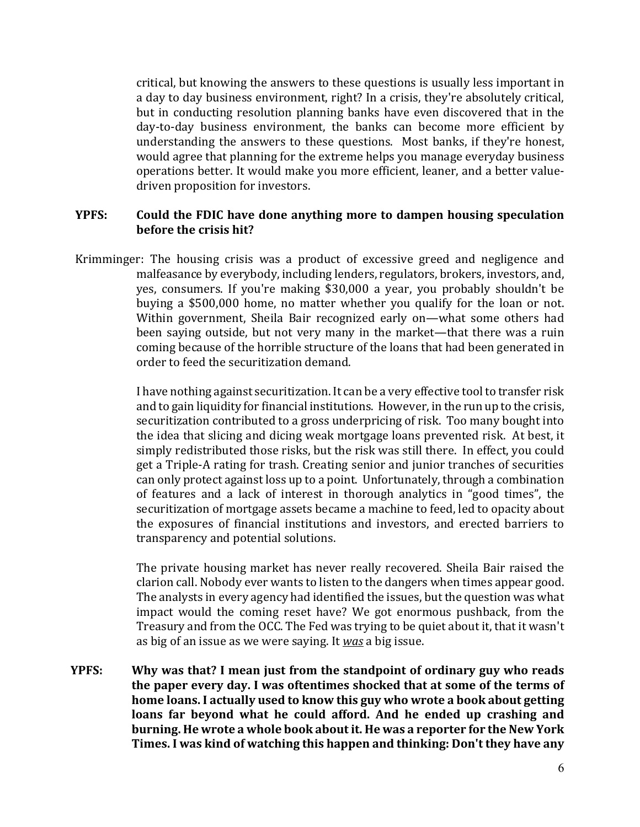critical, but knowing the answers to these questions is usually less important in a day to day business environment, right? In a crisis, they're absolutely critical, but in conducting resolution planning banks have even discovered that in the day-to-day business environment, the banks can become more efficient by understanding the answers to these questions. Most banks, if they're honest, would agree that planning for the extreme helps you manage everyday business operations better. It would make you more efficient, leaner, and a better valuedriven proposition for investors.

#### **YPFS: Could the FDIC have done anything more to dampen housing speculation before the crisis hit?**

Krimminger: The housing crisis was a product of excessive greed and negligence and malfeasance by everybody, including lenders, regulators, brokers, investors, and, yes, consumers. If you're making \$30,000 a year, you probably shouldn't be buying a \$500,000 home, no matter whether you qualify for the loan or not. Within government, Sheila Bair recognized early on—what some others had been saying outside, but not very many in the market—that there was a ruin coming because of the horrible structure of the loans that had been generated in order to feed the securitization demand.

> I have nothing against securitization. It can be a very effective tool to transfer risk and to gain liquidity for financial institutions. However, in the run up to the crisis, securitization contributed to a gross underpricing of risk. Too many bought into the idea that slicing and dicing weak mortgage loans prevented risk. At best, it simply redistributed those risks, but the risk was still there. In effect, you could get a Triple-A rating for trash. Creating senior and junior tranches of securities can only protect against loss up to a point. Unfortunately, through a combination of features and a lack of interest in thorough analytics in "good times", the securitization of mortgage assets became a machine to feed, led to opacity about the exposures of financial institutions and investors, and erected barriers to transparency and potential solutions.

> The private housing market has never really recovered. Sheila Bair raised the clarion call. Nobody ever wants to listen to the dangers when times appear good. The analysts in every agency had identified the issues, but the question was what impact would the coming reset have? We got enormous pushback, from the Treasury and from the OCC. The Fed was trying to be quiet about it, that it wasn't as big of an issue as we were saying. It *was* a big issue.

**YPFS: Why was that? I mean just from the standpoint of ordinary guy who reads the paper every day. I was oftentimes shocked that at some of the terms of home loans. I actually used to know this guy who wrote a book about getting loans far beyond what he could afford. And he ended up crashing and burning. He wrote a whole book about it. He was a reporter for the New York Times. I was kind of watching this happen and thinking: Don't they have any**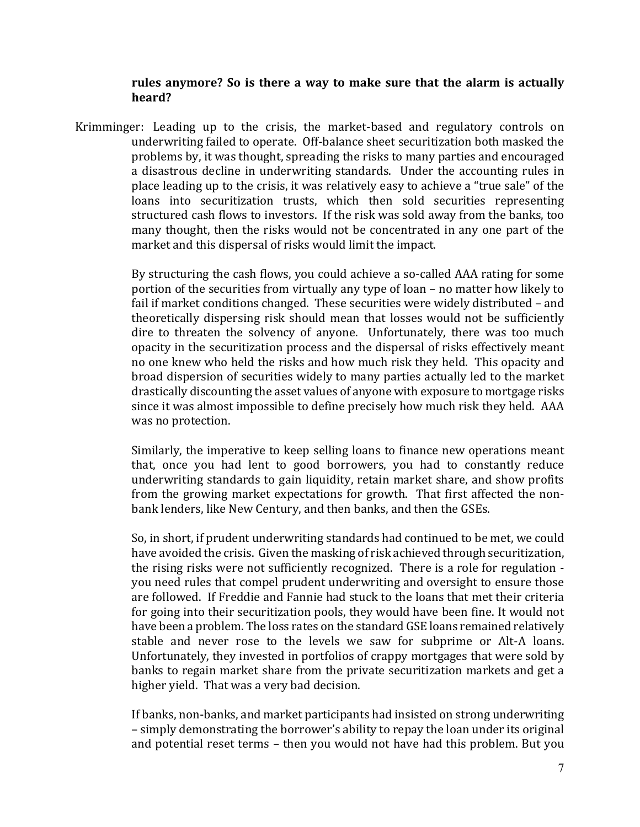#### **rules anymore? So is there a way to make sure that the alarm is actually heard?**

Krimminger: Leading up to the crisis, the market-based and regulatory controls on underwriting failed to operate. Off-balance sheet securitization both masked the problems by, it was thought, spreading the risks to many parties and encouraged a disastrous decline in underwriting standards. Under the accounting rules in place leading up to the crisis, it was relatively easy to achieve a "true sale" of the loans into securitization trusts, which then sold securities representing structured cash flows to investors. If the risk was sold away from the banks, too many thought, then the risks would not be concentrated in any one part of the market and this dispersal of risks would limit the impact.

> By structuring the cash flows, you could achieve a so-called AAA rating for some portion of the securities from virtually any type of loan – no matter how likely to fail if market conditions changed. These securities were widely distributed – and theoretically dispersing risk should mean that losses would not be sufficiently dire to threaten the solvency of anyone. Unfortunately, there was too much opacity in the securitization process and the dispersal of risks effectively meant no one knew who held the risks and how much risk they held. This opacity and broad dispersion of securities widely to many parties actually led to the market drastically discounting the asset values of anyone with exposure to mortgage risks since it was almost impossible to define precisely how much risk they held. AAA was no protection.

> Similarly, the imperative to keep selling loans to finance new operations meant that, once you had lent to good borrowers, you had to constantly reduce underwriting standards to gain liquidity, retain market share, and show profits from the growing market expectations for growth. That first affected the nonbank lenders, like New Century, and then banks, and then the GSEs.

> So, in short, if prudent underwriting standards had continued to be met, we could have avoided the crisis. Given the masking of risk achieved through securitization, the rising risks were not sufficiently recognized. There is a role for regulation you need rules that compel prudent underwriting and oversight to ensure those are followed. If Freddie and Fannie had stuck to the loans that met their criteria for going into their securitization pools, they would have been fine. It would not have been a problem. The loss rates on the standard GSE loans remained relatively stable and never rose to the levels we saw for subprime or Alt-A loans. Unfortunately, they invested in portfolios of crappy mortgages that were sold by banks to regain market share from the private securitization markets and get a higher yield. That was a very bad decision.

> If banks, non-banks, and market participants had insisted on strong underwriting – simply demonstrating the borrower's ability to repay the loan under its original and potential reset terms – then you would not have had this problem. But you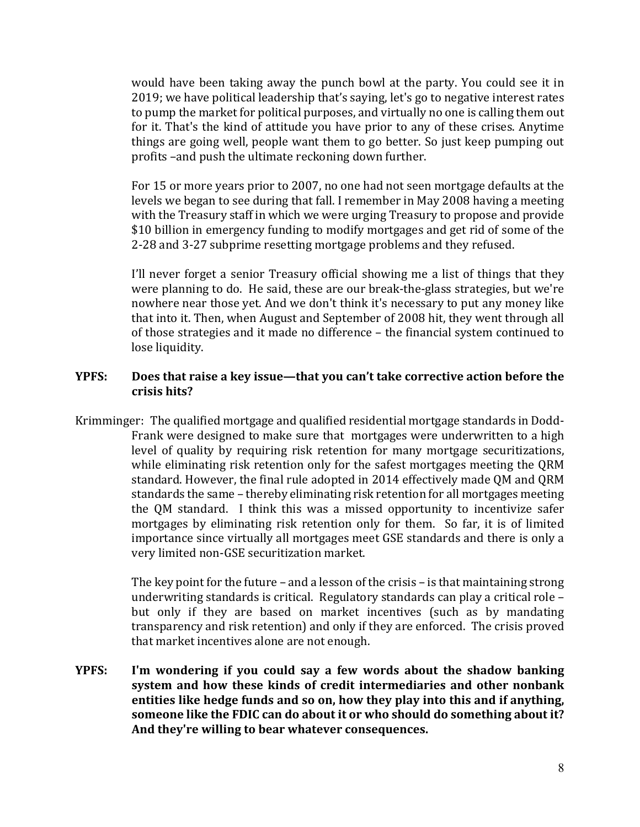would have been taking away the punch bowl at the party. You could see it in 2019; we have political leadership that's saying, let's go to negative interest rates to pump the market for political purposes, and virtually no one is calling them out for it. That's the kind of attitude you have prior to any of these crises. Anytime things are going well, people want them to go better. So just keep pumping out profits –and push the ultimate reckoning down further.

For 15 or more years prior to 2007, no one had not seen mortgage defaults at the levels we began to see during that fall. I remember in May 2008 having a meeting with the Treasury staff in which we were urging Treasury to propose and provide \$10 billion in emergency funding to modify mortgages and get rid of some of the 2-28 and 3-27 subprime resetting mortgage problems and they refused.

I'll never forget a senior Treasury official showing me a list of things that they were planning to do. He said, these are our break-the-glass strategies, but we're nowhere near those yet. And we don't think it's necessary to put any money like that into it. Then, when August and September of 2008 hit, they went through all of those strategies and it made no difference – the financial system continued to lose liquidity.

## **YPFS: Does that raise a key issue—that you can't take corrective action before the crisis hits?**

Krimminger: The qualified mortgage and qualified residential mortgage standards in Dodd-Frank were designed to make sure that mortgages were underwritten to a high level of quality by requiring risk retention for many mortgage securitizations, while eliminating risk retention only for the safest mortgages meeting the QRM standard. However, the final rule adopted in 2014 effectively made QM and QRM standards the same – thereby eliminating risk retention for all mortgages meeting the QM standard. I think this was a missed opportunity to incentivize safer mortgages by eliminating risk retention only for them. So far, it is of limited importance since virtually all mortgages meet GSE standards and there is only a very limited non-GSE securitization market.

> The key point for the future – and a lesson of the crisis – is that maintaining strong underwriting standards is critical. Regulatory standards can play a critical role – but only if they are based on market incentives (such as by mandating transparency and risk retention) and only if they are enforced. The crisis proved that market incentives alone are not enough.

**YPFS: I'm wondering if you could say a few words about the shadow banking system and how these kinds of credit intermediaries and other nonbank entities like hedge funds and so on, how they play into this and if anything, someone like the FDIC can do about it or who should do something about it? And they're willing to bear whatever consequences.**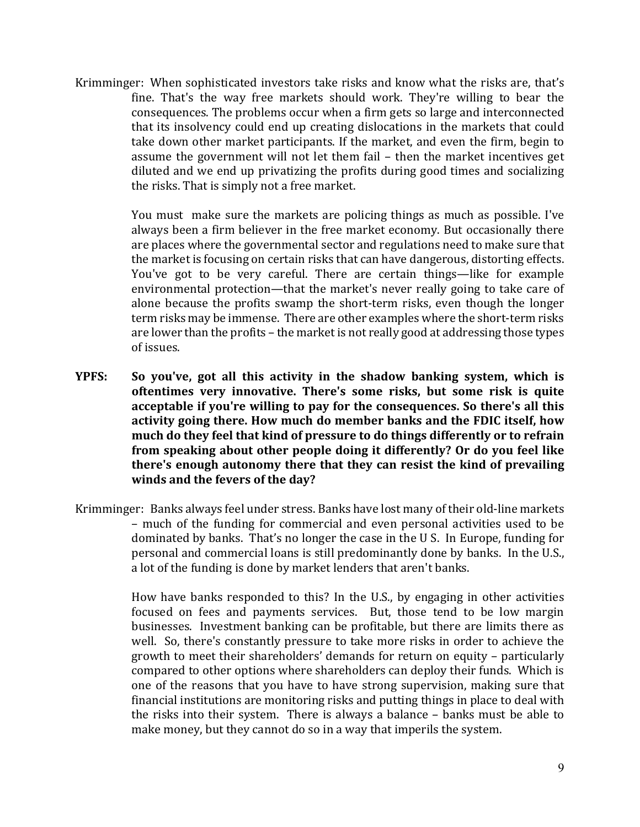Krimminger: When sophisticated investors take risks and know what the risks are, that's fine. That's the way free markets should work. They're willing to bear the consequences. The problems occur when a firm gets so large and interconnected that its insolvency could end up creating dislocations in the markets that could take down other market participants. If the market, and even the firm, begin to assume the government will not let them fail – then the market incentives get diluted and we end up privatizing the profits during good times and socializing the risks. That is simply not a free market.

> You must make sure the markets are policing things as much as possible. I've always been a firm believer in the free market economy. But occasionally there are places where the governmental sector and regulations need to make sure that the market is focusing on certain risks that can have dangerous, distorting effects. You've got to be very careful. There are certain things—like for example environmental protection—that the market's never really going to take care of alone because the profits swamp the short-term risks, even though the longer term risks may be immense. There are other examples where the short-term risks are lower than the profits – the market is not really good at addressing those types of issues.

- **YPFS: So you've, got all this activity in the shadow banking system, which is oftentimes very innovative. There's some risks, but some risk is quite acceptable if you're willing to pay for the consequences. So there's all this activity going there. How much do member banks and the FDIC itself, how much do they feel that kind of pressure to do things differently or to refrain from speaking about other people doing it differently? Or do you feel like there's enough autonomy there that they can resist the kind of prevailing winds and the fevers of the day?**
- Krimminger: Banks always feel under stress. Banks have lost many of their old-line markets – much of the funding for commercial and even personal activities used to be dominated by banks. That's no longer the case in the U S. In Europe, funding for personal and commercial loans is still predominantly done by banks. In the U.S., a lot of the funding is done by market lenders that aren't banks.

How have banks responded to this? In the U.S., by engaging in other activities focused on fees and payments services. But, those tend to be low margin businesses. Investment banking can be profitable, but there are limits there as well. So, there's constantly pressure to take more risks in order to achieve the growth to meet their shareholders' demands for return on equity – particularly compared to other options where shareholders can deploy their funds. Which is one of the reasons that you have to have strong supervision, making sure that financial institutions are monitoring risks and putting things in place to deal with the risks into their system. There is always a balance – banks must be able to make money, but they cannot do so in a way that imperils the system.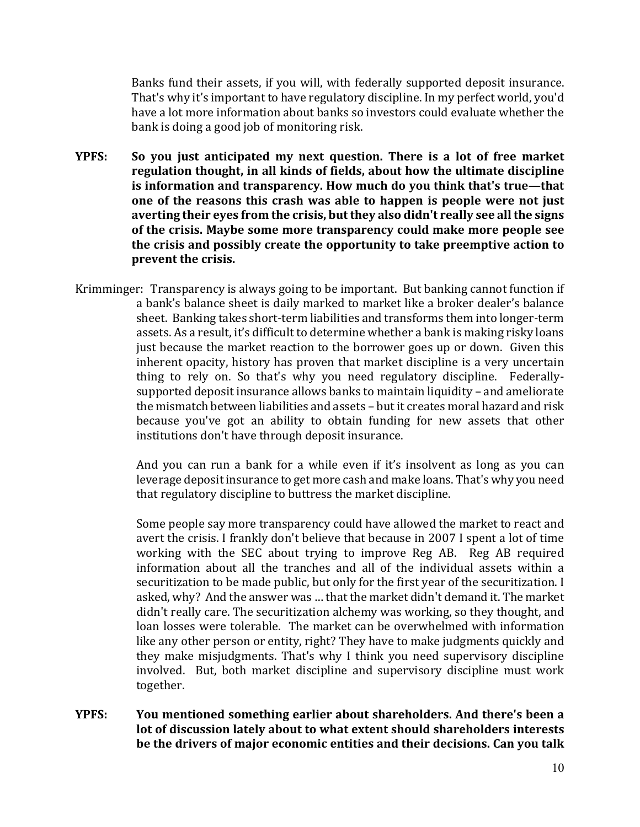Banks fund their assets, if you will, with federally supported deposit insurance. That's why it's important to have regulatory discipline. In my perfect world, you'd have a lot more information about banks so investors could evaluate whether the bank is doing a good job of monitoring risk.

- **YPFS: So you just anticipated my next question. There is a lot of free market regulation thought, in all kinds of fields, about how the ultimate discipline is information and transparency. How much do you think that's true—that one of the reasons this crash was able to happen is people were not just averting their eyes from the crisis, but they also didn't really see all the signs of the crisis. Maybe some more transparency could make more people see the crisis and possibly create the opportunity to take preemptive action to prevent the crisis.**
- Krimminger: Transparency is always going to be important. But banking cannot function if a bank's balance sheet is daily marked to market like a broker dealer's balance sheet. Banking takes short-term liabilities and transforms them into longer-term assets. As a result, it's difficult to determine whether a bank is making risky loans just because the market reaction to the borrower goes up or down. Given this inherent opacity, history has proven that market discipline is a very uncertain thing to rely on. So that's why you need regulatory discipline. Federallysupported deposit insurance allows banks to maintain liquidity – and ameliorate the mismatch between liabilities and assets – but it creates moral hazard and risk because you've got an ability to obtain funding for new assets that other institutions don't have through deposit insurance.

And you can run a bank for a while even if it's insolvent as long as you can leverage deposit insurance to get more cash and make loans. That's why you need that regulatory discipline to buttress the market discipline.

Some people say more transparency could have allowed the market to react and avert the crisis. I frankly don't believe that because in 2007 I spent a lot of time working with the SEC about trying to improve Reg AB. Reg AB required information about all the tranches and all of the individual assets within a securitization to be made public, but only for the first year of the securitization. I asked, why? And the answer was … that the market didn't demand it. The market didn't really care. The securitization alchemy was working, so they thought, and loan losses were tolerable. The market can be overwhelmed with information like any other person or entity, right? They have to make judgments quickly and they make misjudgments. That's why I think you need supervisory discipline involved. But, both market discipline and supervisory discipline must work together.

**YPFS: You mentioned something earlier about shareholders. And there's been a lot of discussion lately about to what extent should shareholders interests be the drivers of major economic entities and their decisions. Can you talk**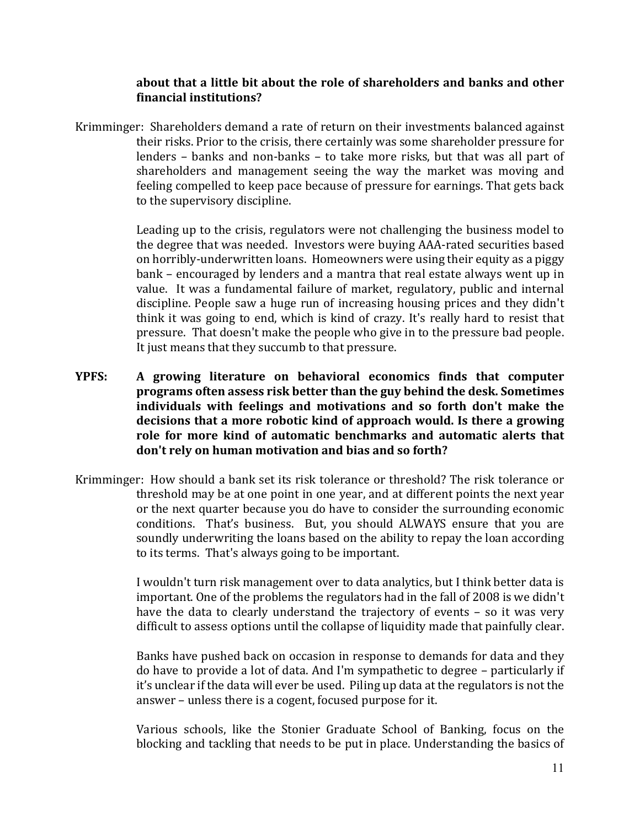#### **about that a little bit about the role of shareholders and banks and other financial institutions?**

Krimminger: Shareholders demand a rate of return on their investments balanced against their risks. Prior to the crisis, there certainly was some shareholder pressure for lenders – banks and non-banks – to take more risks, but that was all part of shareholders and management seeing the way the market was moving and feeling compelled to keep pace because of pressure for earnings. That gets back to the supervisory discipline.

> Leading up to the crisis, regulators were not challenging the business model to the degree that was needed. Investors were buying AAA-rated securities based on horribly-underwritten loans. Homeowners were using their equity as a piggy bank – encouraged by lenders and a mantra that real estate always went up in value. It was a fundamental failure of market, regulatory, public and internal discipline. People saw a huge run of increasing housing prices and they didn't think it was going to end, which is kind of crazy. It's really hard to resist that pressure. That doesn't make the people who give in to the pressure bad people. It just means that they succumb to that pressure.

- **YPFS: A growing literature on behavioral economics finds that computer programs often assess risk better than the guy behind the desk. Sometimes individuals with feelings and motivations and so forth don't make the decisions that a more robotic kind of approach would. Is there a growing role for more kind of automatic benchmarks and automatic alerts that don't rely on human motivation and bias and so forth?**
- Krimminger: How should a bank set its risk tolerance or threshold? The risk tolerance or threshold may be at one point in one year, and at different points the next year or the next quarter because you do have to consider the surrounding economic conditions. That's business. But, you should ALWAYS ensure that you are soundly underwriting the loans based on the ability to repay the loan according to its terms. That's always going to be important.

I wouldn't turn risk management over to data analytics, but I think better data is important. One of the problems the regulators had in the fall of 2008 is we didn't have the data to clearly understand the trajectory of events – so it was very difficult to assess options until the collapse of liquidity made that painfully clear.

Banks have pushed back on occasion in response to demands for data and they do have to provide a lot of data. And I'm sympathetic to degree – particularly if it's unclear if the data will ever be used. Piling up data at the regulators is not the answer – unless there is a cogent, focused purpose for it.

Various schools, like the Stonier Graduate School of Banking, focus on the blocking and tackling that needs to be put in place. Understanding the basics of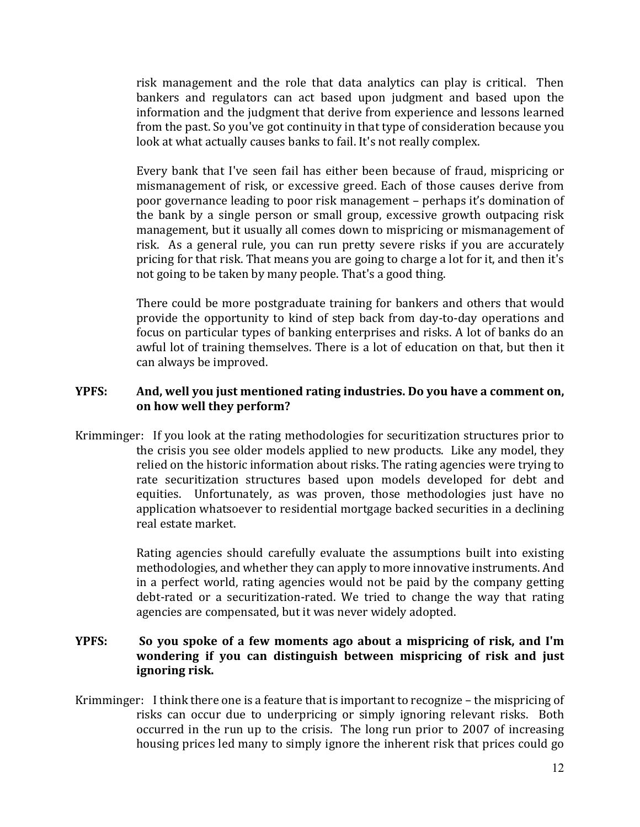risk management and the role that data analytics can play is critical. Then bankers and regulators can act based upon judgment and based upon the information and the judgment that derive from experience and lessons learned from the past. So you've got continuity in that type of consideration because you look at what actually causes banks to fail. It's not really complex.

Every bank that I've seen fail has either been because of fraud, mispricing or mismanagement of risk, or excessive greed. Each of those causes derive from poor governance leading to poor risk management – perhaps it's domination of the bank by a single person or small group, excessive growth outpacing risk management, but it usually all comes down to mispricing or mismanagement of risk. As a general rule, you can run pretty severe risks if you are accurately pricing for that risk. That means you are going to charge a lot for it, and then it's not going to be taken by many people. That's a good thing.

There could be more postgraduate training for bankers and others that would provide the opportunity to kind of step back from day-to-day operations and focus on particular types of banking enterprises and risks. A lot of banks do an awful lot of training themselves. There is a lot of education on that, but then it can always be improved.

#### **YPFS: And, well you just mentioned rating industries. Do you have a comment on, on how well they perform?**

Krimminger: If you look at the rating methodologies for securitization structures prior to the crisis you see older models applied to new products. Like any model, they relied on the historic information about risks. The rating agencies were trying to rate securitization structures based upon models developed for debt and equities. Unfortunately, as was proven, those methodologies just have no application whatsoever to residential mortgage backed securities in a declining real estate market.

> Rating agencies should carefully evaluate the assumptions built into existing methodologies, and whether they can apply to more innovative instruments. And in a perfect world, rating agencies would not be paid by the company getting debt-rated or a securitization-rated. We tried to change the way that rating agencies are compensated, but it was never widely adopted.

# **YPFS: So you spoke of a few moments ago about a mispricing of risk, and I'm wondering if you can distinguish between mispricing of risk and just ignoring risk.**

Krimminger: I think there one is a feature that is important to recognize – the mispricing of risks can occur due to underpricing or simply ignoring relevant risks. Both occurred in the run up to the crisis. The long run prior to 2007 of increasing housing prices led many to simply ignore the inherent risk that prices could go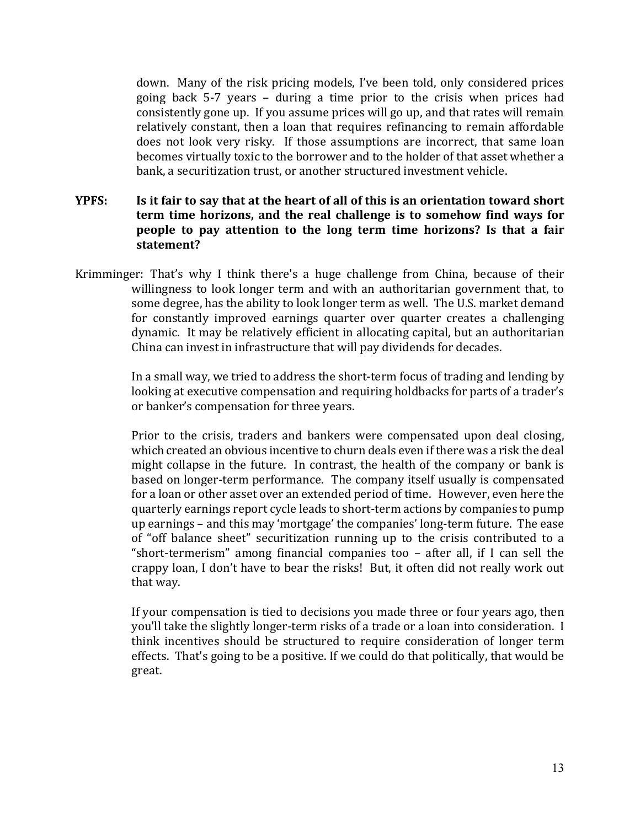down. Many of the risk pricing models, I've been told, only considered prices going back 5-7 years – during a time prior to the crisis when prices had consistently gone up. If you assume prices will go up, and that rates will remain relatively constant, then a loan that requires refinancing to remain affordable does not look very risky. If those assumptions are incorrect, that same loan becomes virtually toxic to the borrower and to the holder of that asset whether a bank, a securitization trust, or another structured investment vehicle.

## **YPFS: Is it fair to say that at the heart of all of this is an orientation toward short term time horizons, and the real challenge is to somehow find ways for people to pay attention to the long term time horizons? Is that a fair statement?**

Krimminger: That's why I think there's a huge challenge from China, because of their willingness to look longer term and with an authoritarian government that, to some degree, has the ability to look longer term as well. The U.S. market demand for constantly improved earnings quarter over quarter creates a challenging dynamic. It may be relatively efficient in allocating capital, but an authoritarian China can invest in infrastructure that will pay dividends for decades.

> In a small way, we tried to address the short-term focus of trading and lending by looking at executive compensation and requiring holdbacks for parts of a trader's or banker's compensation for three years.

> Prior to the crisis, traders and bankers were compensated upon deal closing, which created an obvious incentive to churn deals even if there was a risk the deal might collapse in the future. In contrast, the health of the company or bank is based on longer-term performance. The company itself usually is compensated for a loan or other asset over an extended period of time. However, even here the quarterly earnings report cycle leads to short-term actions by companies to pump up earnings – and this may 'mortgage' the companies' long-term future. The ease of "off balance sheet" securitization running up to the crisis contributed to a "short-termerism" among financial companies too – after all, if I can sell the crappy loan, I don't have to bear the risks! But, it often did not really work out that way.

> If your compensation is tied to decisions you made three or four years ago, then you'll take the slightly longer-term risks of a trade or a loan into consideration. I think incentives should be structured to require consideration of longer term effects. That's going to be a positive. If we could do that politically, that would be great.